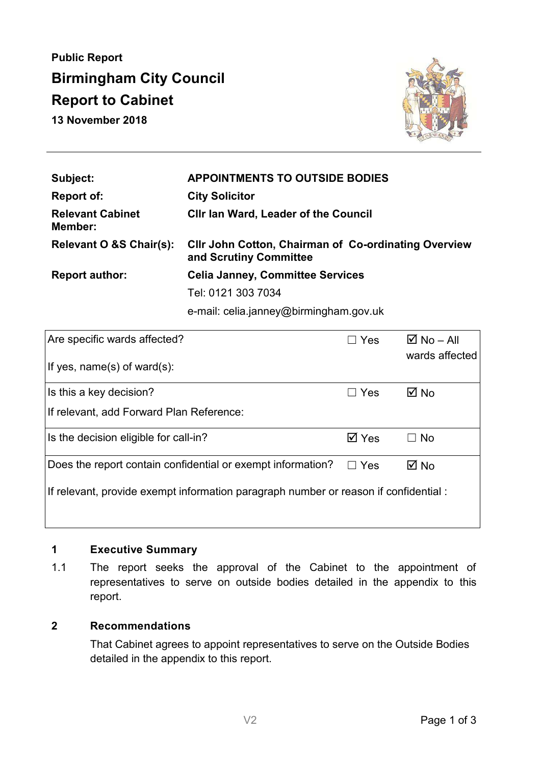**Public Report Birmingham City Council Report to Cabinet 13 November 2018** 



| Subject:                           | <b>APPOINTMENTS TO OUTSIDE BODIES</b>                                                 |  |
|------------------------------------|---------------------------------------------------------------------------------------|--|
| <b>Report of:</b>                  | <b>City Solicitor</b>                                                                 |  |
| <b>Relevant Cabinet</b><br>Member: | <b>CIIr Ian Ward, Leader of the Council</b>                                           |  |
| Relevant O &S Chair(s):            | <b>CIIr John Cotton, Chairman of Co-ordinating Overview</b><br>and Scrutiny Committee |  |
| <b>Report author:</b>              | <b>Celia Janney, Committee Services</b>                                               |  |
|                                    | Tel: 0121 303 7034                                                                    |  |
|                                    |                                                                                       |  |

e-mail: celia.janney@birmingham.gov.uk

| Are specific wards affected?                                                         | $\Box$ Yes                  | $\boxtimes$ No – All<br>wards affected |  |
|--------------------------------------------------------------------------------------|-----------------------------|----------------------------------------|--|
| If yes, $name(s)$ of ward $(s)$ :                                                    |                             |                                        |  |
| Is this a key decision?                                                              | $\Box$ Yes                  | $\boxtimes$ No                         |  |
| If relevant, add Forward Plan Reference:                                             |                             |                                        |  |
| Is the decision eligible for call-in?                                                | $\overline{\mathsf{M}}$ Yes | $\Box$ No                              |  |
| Does the report contain confidential or exempt information?                          | Yes<br>$\Box$               | $\boxtimes$ No                         |  |
| If relevant, provide exempt information paragraph number or reason if confidential : |                             |                                        |  |
|                                                                                      |                             |                                        |  |

# **1 Executive Summary**

1.1 The report seeks the approval of the Cabinet to the appointment of representatives to serve on outside bodies detailed in the appendix to this report.

## **2 Recommendations**

That Cabinet agrees to appoint representatives to serve on the Outside Bodies detailed in the appendix to this report.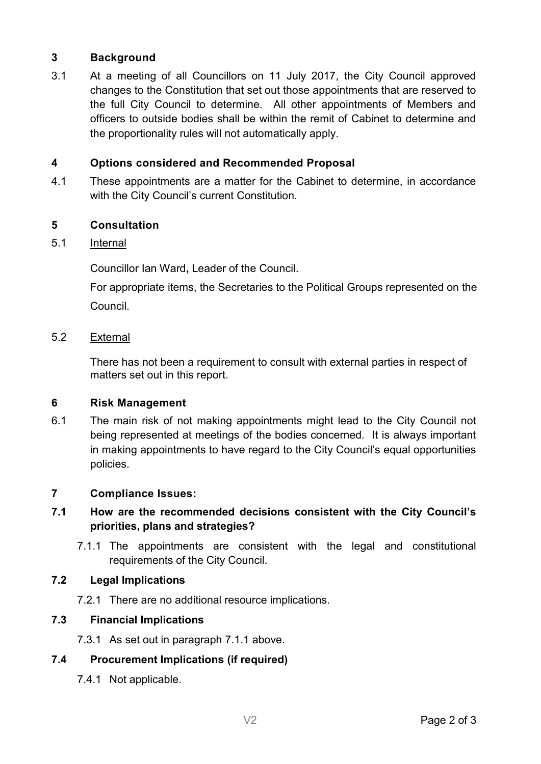### **3 Background**

3.1 At a meeting of all Councillors on 11 July 2017, the City Council approved changes to the Constitution that set out those appointments that are reserved to the full City Council to determine. All other appointments of Members and officers to outside bodies shall be within the remit of Cabinet to determine and the proportionality rules will not automatically apply.

## **4 Options considered and Recommended Proposal**

4.1 These appointments are a matter for the Cabinet to determine, in accordance with the City Council's current Constitution.

# **5 Consultation**

#### 5.1 Internal

Councillor Ian Ward**,** Leader of the Council.

For appropriate items, the Secretaries to the Political Groups represented on the Council.

#### 5.2 External

There has not been a requirement to consult with external parties in respect of matters set out in this report.

#### **6 Risk Management**

6.1 The main risk of not making appointments might lead to the City Council not being represented at meetings of the bodies concerned. It is always important in making appointments to have regard to the City Council's equal opportunities policies.

### **7 Compliance Issues:**

# **7.1 How are the recommended decisions consistent with the City Council's priorities, plans and strategies?**

7.1.1 The appointments are consistent with the legal and constitutional requirements of the City Council.

### **7.2 Legal Implications**

7.2.1 There are no additional resource implications.

### **7.3 Financial Implications**

7.3.1 As set out in paragraph 7.1.1 above.

### **7.4 Procurement Implications (if required)**

7.4.1 Not applicable.